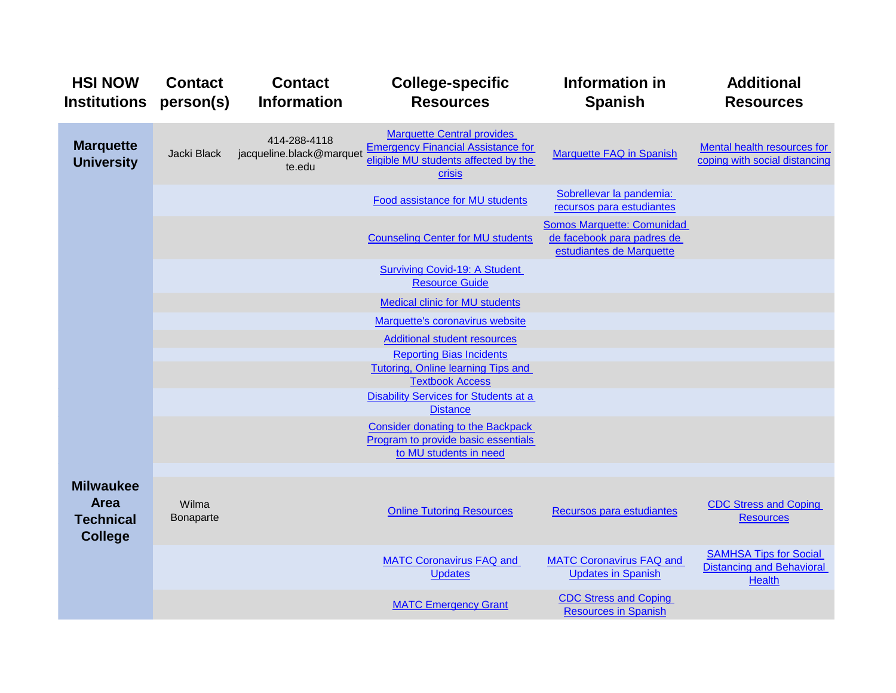| <b>HSI NOW</b><br><b>Institutions</b>                                 | <b>Contact</b><br>person(s) | <b>Contact</b><br><b>Information</b>               | <b>College-specific</b><br><b>Resources</b>                                                                                      | Information in<br><b>Spanish</b>                                                            | <b>Additional</b><br><b>Resources</b>                                              |
|-----------------------------------------------------------------------|-----------------------------|----------------------------------------------------|----------------------------------------------------------------------------------------------------------------------------------|---------------------------------------------------------------------------------------------|------------------------------------------------------------------------------------|
| <b>Marquette</b><br><b>University</b>                                 | Jacki Black                 | 414-288-4118<br>jacqueline.black@marquet<br>te.edu | <b>Marquette Central provides</b><br><b>Emergency Financial Assistance for</b><br>eligible MU students affected by the<br>crisis | <b>Marquette FAQ in Spanish</b>                                                             | <b>Mental health resources for</b><br>coping with social distancing                |
|                                                                       |                             |                                                    | Food assistance for MU students                                                                                                  | Sobrellevar la pandemia:<br>recursos para estudiantes                                       |                                                                                    |
|                                                                       |                             |                                                    | <b>Counseling Center for MU students</b>                                                                                         | <b>Somos Marquette: Comunidad</b><br>de facebook para padres de<br>estudiantes de Marquette |                                                                                    |
|                                                                       |                             |                                                    | <b>Surviving Covid-19: A Student</b><br><b>Resource Guide</b>                                                                    |                                                                                             |                                                                                    |
|                                                                       |                             |                                                    | <b>Medical clinic for MU students</b>                                                                                            |                                                                                             |                                                                                    |
|                                                                       |                             |                                                    | Marquette's coronavirus website                                                                                                  |                                                                                             |                                                                                    |
|                                                                       |                             |                                                    | <b>Additional student resources</b>                                                                                              |                                                                                             |                                                                                    |
|                                                                       |                             |                                                    | <b>Reporting Bias Incidents</b>                                                                                                  |                                                                                             |                                                                                    |
|                                                                       |                             |                                                    | Tutoring, Online learning Tips and<br><b>Textbook Access</b>                                                                     |                                                                                             |                                                                                    |
|                                                                       |                             |                                                    | Disability Services for Students at a                                                                                            |                                                                                             |                                                                                    |
|                                                                       |                             |                                                    | <b>Distance</b>                                                                                                                  |                                                                                             |                                                                                    |
|                                                                       |                             |                                                    | <b>Consider donating to the Backpack</b><br>Program to provide basic essentials<br>to MU students in need                        |                                                                                             |                                                                                    |
|                                                                       |                             |                                                    |                                                                                                                                  |                                                                                             |                                                                                    |
| <b>Milwaukee</b><br><b>Area</b><br><b>Technical</b><br><b>College</b> | Wilma<br>Bonaparte          |                                                    | <b>Online Tutoring Resources</b>                                                                                                 | Recursos para estudiantes                                                                   | <b>CDC Stress and Coping</b><br><b>Resources</b>                                   |
|                                                                       |                             |                                                    | <b>MATC Coronavirus FAQ and</b><br><b>Updates</b>                                                                                | <b>MATC Coronavirus FAQ and</b><br><b>Updates in Spanish</b>                                | <b>SAMHSA Tips for Social</b><br><b>Distancing and Behavioral</b><br><b>Health</b> |
|                                                                       |                             |                                                    | <b>MATC Emergency Grant</b>                                                                                                      | <b>CDC Stress and Coping</b><br><b>Resources in Spanish</b>                                 |                                                                                    |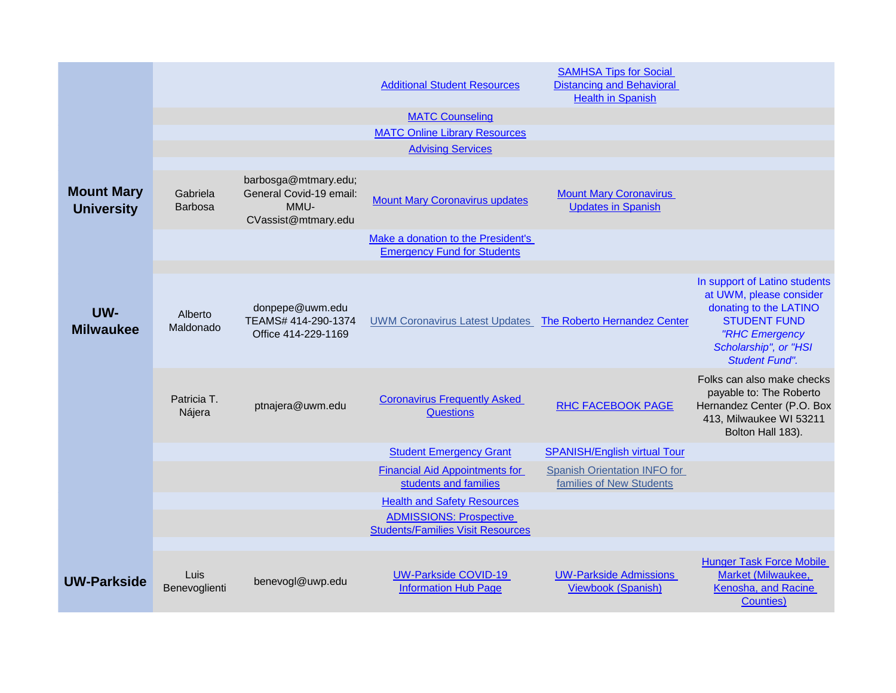|                                        |                            |                                                                                | <b>Additional Student Resources</b>                                        | <b>SAMHSA Tips for Social</b><br><b>Distancing and Behavioral</b><br><b>Health in Spanish</b> |                                                                                                                                                                               |
|----------------------------------------|----------------------------|--------------------------------------------------------------------------------|----------------------------------------------------------------------------|-----------------------------------------------------------------------------------------------|-------------------------------------------------------------------------------------------------------------------------------------------------------------------------------|
|                                        |                            |                                                                                | <b>MATC Counseling</b>                                                     |                                                                                               |                                                                                                                                                                               |
|                                        |                            |                                                                                | <b>MATC Online Library Resources</b>                                       |                                                                                               |                                                                                                                                                                               |
|                                        |                            |                                                                                | <b>Advising Services</b>                                                   |                                                                                               |                                                                                                                                                                               |
| <b>Mount Mary</b><br><b>University</b> | Gabriela<br><b>Barbosa</b> | barbosga@mtmary.edu;<br>General Covid-19 email:<br>MMU-<br>CVassist@mtmary.edu | <b>Mount Mary Coronavirus updates</b>                                      | <b>Mount Mary Coronavirus</b><br><b>Updates in Spanish</b>                                    |                                                                                                                                                                               |
|                                        |                            |                                                                                | Make a donation to the President's<br><b>Emergency Fund for Students</b>   |                                                                                               |                                                                                                                                                                               |
|                                        |                            |                                                                                |                                                                            |                                                                                               |                                                                                                                                                                               |
| UW-<br><b>Milwaukee</b>                | Alberto<br>Maldonado       | donpepe@uwm.edu<br>TEAMS# 414-290-1374<br>Office 414-229-1169                  | UWM Coronavirus Latest Updates The Roberto Hernandez Center                |                                                                                               | In support of Latino students<br>at UWM, please consider<br>donating to the LATINO<br><b>STUDENT FUND</b><br>"RHC Emergency<br>Scholarship", or "HSI<br><b>Student Fund".</b> |
|                                        | Patricia T.<br>Nájera      | ptnajera@uwm.edu                                                               | <b>Coronavirus Frequently Asked</b><br><b>Questions</b>                    | <b>RHC FACEBOOK PAGE</b>                                                                      | Folks can also make checks<br>payable to: The Roberto<br>Hernandez Center (P.O. Box<br>413, Milwaukee WI 53211<br>Bolton Hall 183).                                           |
|                                        |                            |                                                                                | <b>Student Emergency Grant</b>                                             | <b>SPANISH/English virtual Tour</b>                                                           |                                                                                                                                                                               |
|                                        |                            |                                                                                | <b>Financial Aid Appointments for</b><br>students and families             | Spanish Orientation INFO for<br>families of New Students                                      |                                                                                                                                                                               |
|                                        |                            |                                                                                | <b>Health and Safety Resources</b>                                         |                                                                                               |                                                                                                                                                                               |
|                                        |                            |                                                                                | <b>ADMISSIONS: Prospective</b><br><b>Students/Families Visit Resources</b> |                                                                                               |                                                                                                                                                                               |
|                                        |                            |                                                                                |                                                                            |                                                                                               |                                                                                                                                                                               |
| <b>UW-Parkside</b>                     | Luis<br>Benevoglienti      | benevogl@uwp.edu                                                               | <b>UW-Parkside COVID-19</b><br><b>Information Hub Page</b>                 | <b>UW-Parkside Admissions</b><br><b>Viewbook (Spanish)</b>                                    | <b>Hunger Task Force Mobile</b><br>Market (Milwaukee,<br>Kenosha, and Racine<br><b>Counties</b> )                                                                             |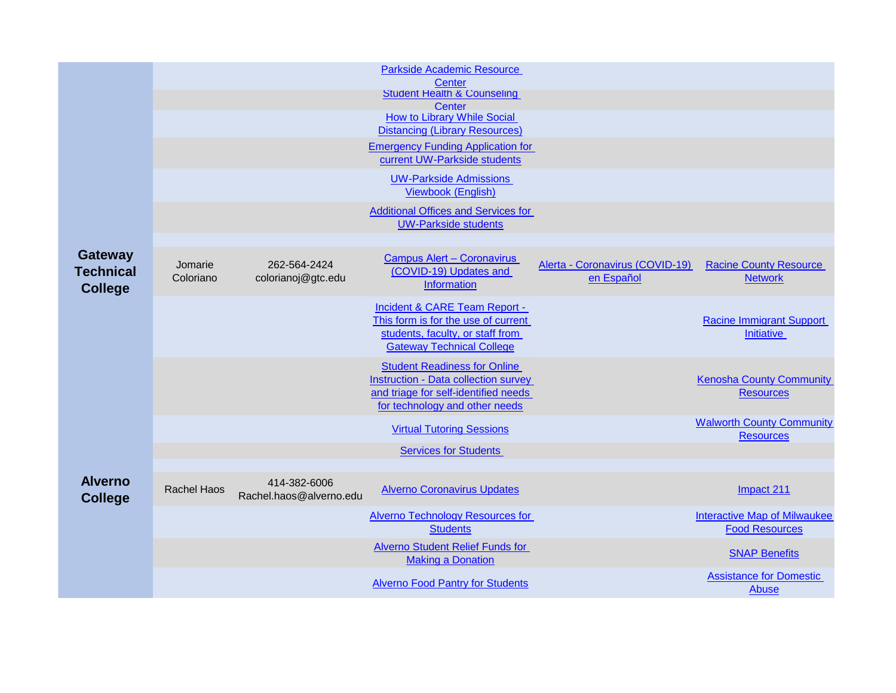|                                    |                    |                                         | <b>Parkside Academic Resource</b>                                                   |                                 |                                                              |
|------------------------------------|--------------------|-----------------------------------------|-------------------------------------------------------------------------------------|---------------------------------|--------------------------------------------------------------|
|                                    |                    |                                         | Center<br><b>Student Health &amp; Counseling</b>                                    |                                 |                                                              |
|                                    |                    |                                         | Center<br><b>How to Library While Social</b>                                        |                                 |                                                              |
|                                    |                    |                                         | <b>Distancing (Library Resources)</b>                                               |                                 |                                                              |
|                                    |                    |                                         | <b>Emergency Funding Application for</b>                                            |                                 |                                                              |
|                                    |                    |                                         | current UW-Parkside students                                                        |                                 |                                                              |
|                                    |                    |                                         | <b>UW-Parkside Admissions</b><br><b>Viewbook (English)</b>                          |                                 |                                                              |
|                                    |                    |                                         | <b>Additional Offices and Services for</b>                                          |                                 |                                                              |
|                                    |                    |                                         | <b>UW-Parkside students</b>                                                         |                                 |                                                              |
|                                    |                    |                                         |                                                                                     |                                 |                                                              |
| <b>Gateway</b><br><b>Technical</b> | Jomarie            | 262-564-2424                            | <b>Campus Alert - Coronavirus</b><br>(COVID-19) Updates and                         | Alerta - Coronavirus (COVID-19) | <b>Racine County Resource</b>                                |
| <b>College</b>                     | Coloriano          | colorianoj@gtc.edu                      | Information                                                                         | en Español                      | <b>Network</b>                                               |
|                                    |                    |                                         | Incident & CARE Team Report -                                                       |                                 |                                                              |
|                                    |                    |                                         | This form is for the use of current<br>students, faculty, or staff from             |                                 | <b>Racine Immigrant Support</b>                              |
|                                    |                    |                                         | <b>Gateway Technical College</b>                                                    |                                 | <b>Initiative</b>                                            |
|                                    |                    |                                         | <b>Student Readiness for Online</b>                                                 |                                 |                                                              |
|                                    |                    |                                         | <b>Instruction - Data collection survey</b><br>and triage for self-identified needs |                                 | <b>Kenosha County Community</b><br><b>Resources</b>          |
|                                    |                    |                                         | for technology and other needs                                                      |                                 |                                                              |
|                                    |                    |                                         | <b>Virtual Tutoring Sessions</b>                                                    |                                 | <b>Walworth County Community</b><br><b>Resources</b>         |
|                                    |                    |                                         | <b>Services for Students</b>                                                        |                                 |                                                              |
|                                    |                    |                                         |                                                                                     |                                 |                                                              |
| <b>Alverno</b><br><b>College</b>   | <b>Rachel Haos</b> | 414-382-6006<br>Rachel.haos@alverno.edu | <b>Alverno Coronavirus Updates</b>                                                  |                                 | Impact 211                                                   |
|                                    |                    |                                         | <b>Alverno Technology Resources for</b><br><b>Students</b>                          |                                 | <b>Interactive Map of Milwaukee</b><br><b>Food Resources</b> |
|                                    |                    |                                         | <b>Alverno Student Relief Funds for</b><br><b>Making a Donation</b>                 |                                 | <b>SNAP Benefits</b>                                         |
|                                    |                    |                                         | <b>Alverno Food Pantry for Students</b>                                             |                                 | <b>Assistance for Domestic</b><br>Abuse                      |